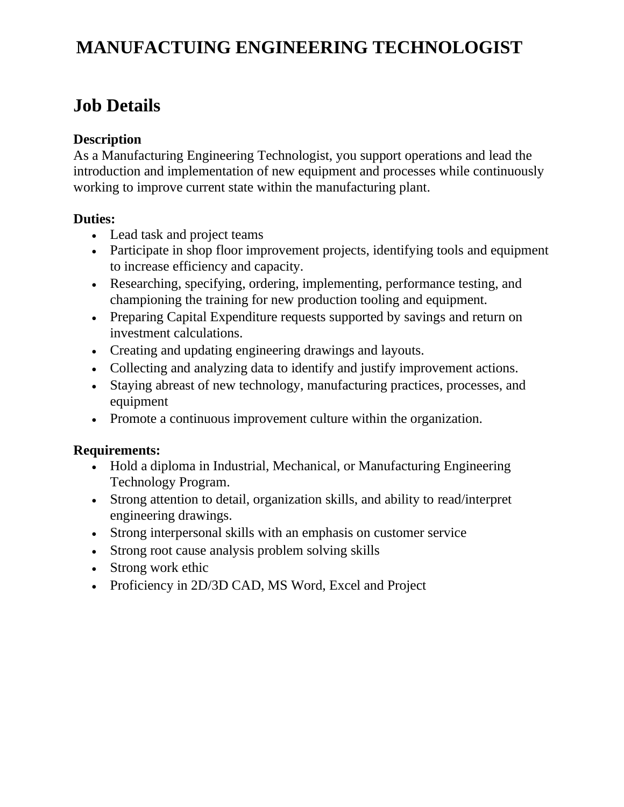# **MANUFACTUING ENGINEERING TECHNOLOGIST**

# **Job Details**

# **Description**

As a Manufacturing Engineering Technologist, you support operations and lead the introduction and implementation of new equipment and processes while continuously working to improve current state within the manufacturing plant.

## **Duties:**

- Lead task and project teams
- Participate in shop floor improvement projects, identifying tools and equipment to increase efficiency and capacity.
- Researching, specifying, ordering, implementing, performance testing, and championing the training for new production tooling and equipment.
- Preparing Capital Expenditure requests supported by savings and return on investment calculations.
- Creating and updating engineering drawings and layouts.
- Collecting and analyzing data to identify and justify improvement actions.
- Staying abreast of new technology, manufacturing practices, processes, and equipment
- Promote a continuous improvement culture within the organization.

# **Requirements:**

- Hold a diploma in Industrial, Mechanical, or Manufacturing Engineering Technology Program.
- Strong attention to detail, organization skills, and ability to read/interpret engineering drawings.
- Strong interpersonal skills with an emphasis on customer service
- Strong root cause analysis problem solving skills
- Strong work ethic
- Proficiency in 2D/3D CAD, MS Word, Excel and Project